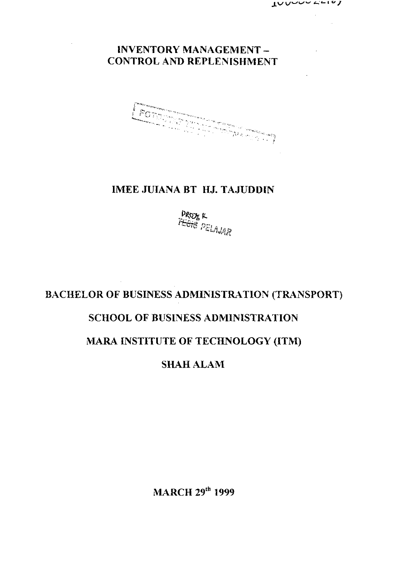### **INVENTORY MANAGEMENT - CONTROL AND REPLENISHMENT**

**FOR SHIP** 

### **IMEE JUIANA BT HJ. TAJUDDIN**

**ft-***11:61 8 KlAJH* 

# **BACHELOR OF BUSINESS ADMINISTRATION (TRANSPORT)**

# **SCHOOL OF BUSINESS ADMINISTRATION**

# **MARA INSTITUTE OF TECHNOLOGY (ITM)**

### **SHAH ALAM**

**MARCH 29<sup>t</sup> <sup>n</sup> 1999**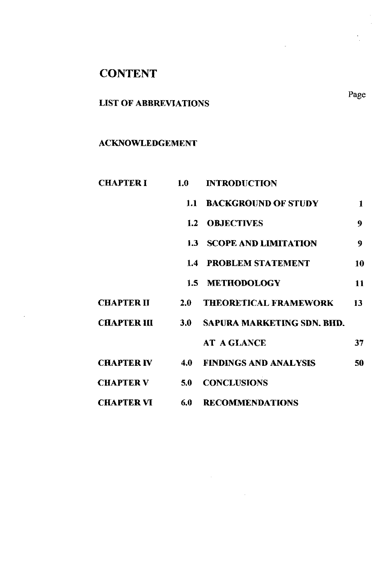# **CONTENT**

 $\cdot$ 

### LIST OF ABBREVIATIONS

#### ACKNOWLEDGEMENT

| <b>CHAPTER I</b>  | 1.0 | <b>INTRODUCTION</b>                               |              |
|-------------------|-----|---------------------------------------------------|--------------|
|                   |     | <b>1.1 BACKGROUND OF STUDY</b>                    | $\mathbf{1}$ |
|                   |     | <b>1.2 OBJECTIVES</b>                             | 9            |
|                   |     | <b>1.3 SCOPE AND LIMITATION</b>                   | 9            |
|                   |     | <b>1.4 PROBLEM STATEMENT</b>                      | 10           |
|                   |     | 1.5 METHODOLOGY                                   | 11           |
| <b>CHAPTER II</b> | 2.0 | <b>THEORETICAL FRAMEWORK</b>                      | 13           |
|                   |     | <b>CHAPTER III 3.0 SAPURA MARKETING SDN. BHD.</b> |              |
|                   |     | <b>AT A GLANCE</b>                                | 37           |
|                   |     | <b>CHAPTER IV 4.0 FINDINGS AND ANALYSIS</b>       | 50           |
| <b>CHAPTER V</b>  | 5.0 | <b>CONCLUSIONS</b>                                |              |
| <b>CHAPTER VI</b> |     | <b>6.0 RECOMMENDATIONS</b>                        |              |

 $\mathcal{L}^{\text{max}}_{\text{max}}$ 

Page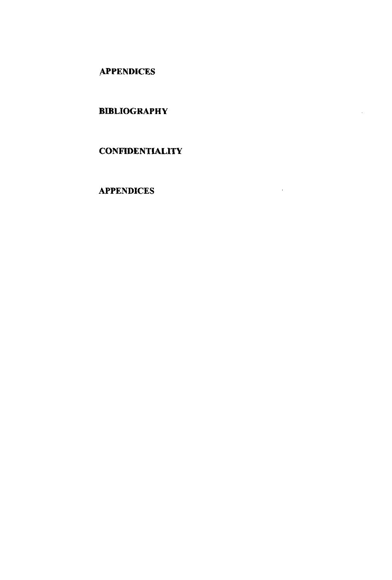**APPENDICES** 

### BIBLIOGRAPHY

#### **CONFIDENTIALITY**

 $\epsilon$ 

#### APPENDICES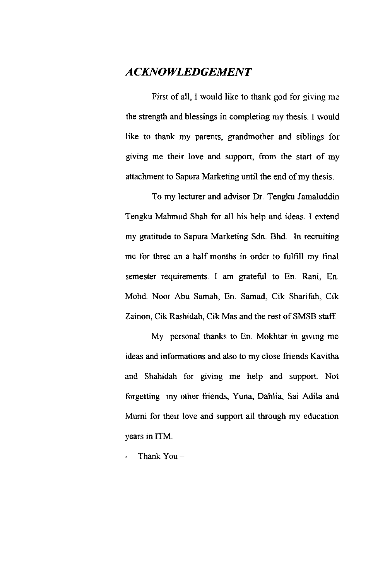### *ACKNOWLEDGEMENT*

First of all, I would like to thank god for giving me the strength and blessings in completing my thesis. I would like to thank my parents, grandmother and siblings for giving me their love and support, from the start of my attachment to Sapura Marketing until the end of my thesis.

To my lecturer and advisor Dr. Tengku Jamaluddin Tengku Mahmud Shah for all his help and ideas. I extend my gratitude to Sapura Marketing Sdn. Bhd. In recruiting me for three an a half months in order to fulfill my final semester requirements. I am grateful to En. Rani, En. Mohd. Noor Abu Samah, En. Samad, Cik Sharifah, Cik Zainon, Cik Rashidah, Cik Mas and the rest of SMSB staff.

My personal thanks to En. Mokhtar in giving me ideas and informations and also to my close friends Kavitha and Shahidah for giving me help and support. Not forgetting my other friends, Yuna, Dahlia, Sai Adila and Murni for their love and support all through my education years in ITM.

Thank  $You -$